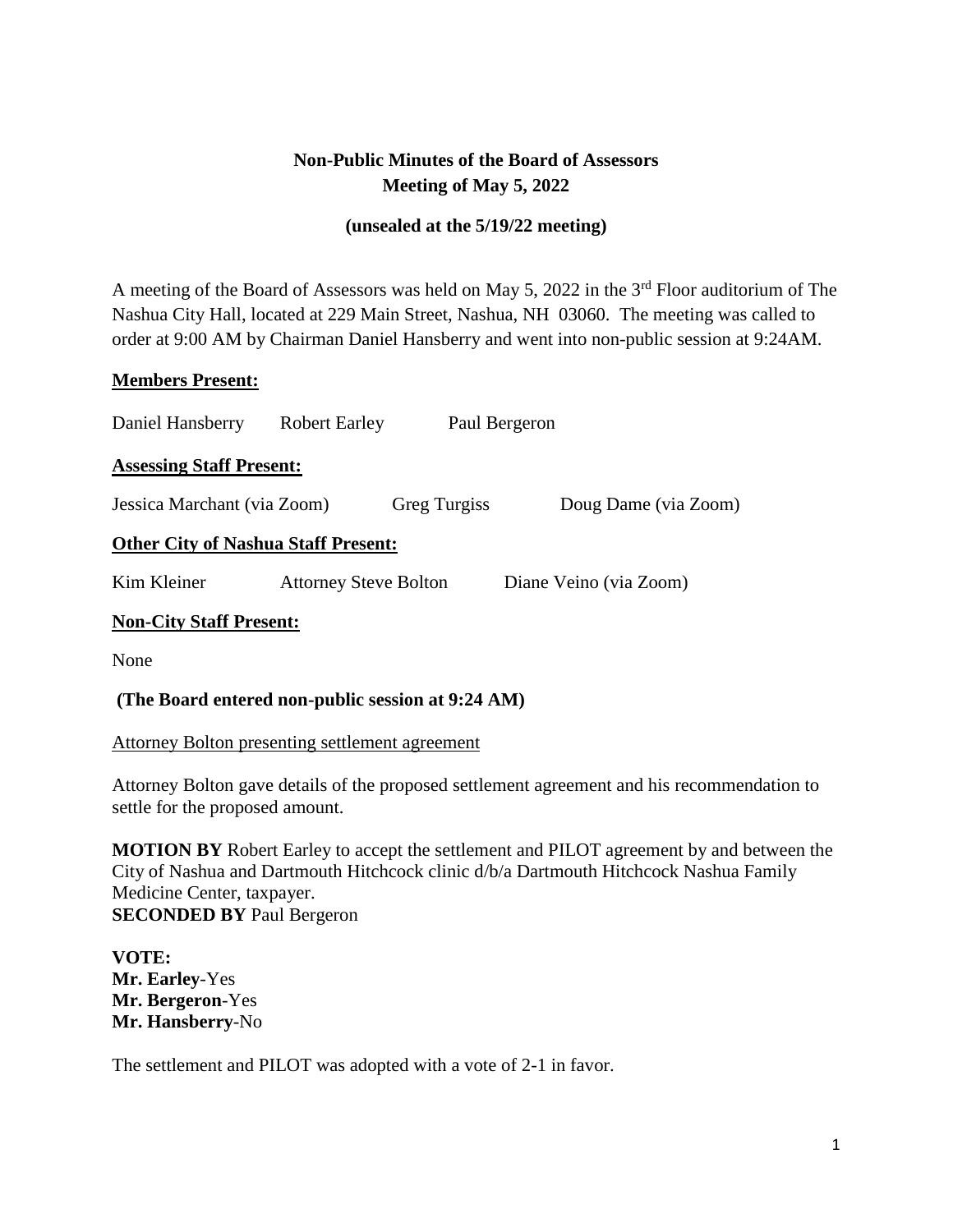# **Non-Public Minutes of the Board of Assessors Meeting of May 5, 2022**

## **(unsealed at the 5/19/22 meeting)**

A meeting of the Board of Assessors was held on May 5, 2022 in the 3rd Floor auditorium of The Nashua City Hall, located at 229 Main Street, Nashua, NH 03060. The meeting was called to order at 9:00 AM by Chairman Daniel Hansberry and went into non-public session at 9:24AM.

### **Members Present:**

| Daniel Hansberry                           | <b>Robert Earley</b>         |                     | Paul Bergeron          |
|--------------------------------------------|------------------------------|---------------------|------------------------|
| <b>Assessing Staff Present:</b>            |                              |                     |                        |
| Jessica Marchant (via Zoom)                |                              | <b>Greg Turgiss</b> | Doug Dame (via Zoom)   |
| <b>Other City of Nashua Staff Present:</b> |                              |                     |                        |
| Kim Kleiner                                | <b>Attorney Steve Bolton</b> |                     | Diane Veino (via Zoom) |
| <b>Non-City Staff Present:</b>             |                              |                     |                        |

None

### **(The Board entered non-public session at 9:24 AM)**

### Attorney Bolton presenting settlement agreement

Attorney Bolton gave details of the proposed settlement agreement and his recommendation to settle for the proposed amount.

**MOTION BY** Robert Earley to accept the settlement and PILOT agreement by and between the City of Nashua and Dartmouth Hitchcock clinic d/b/a Dartmouth Hitchcock Nashua Family Medicine Center, taxpayer. **SECONDED BY** Paul Bergeron

**VOTE: Mr. Earley**-Yes **Mr. Bergeron**-Yes **Mr. Hansberry**-No

The settlement and PILOT was adopted with a vote of 2-1 in favor.